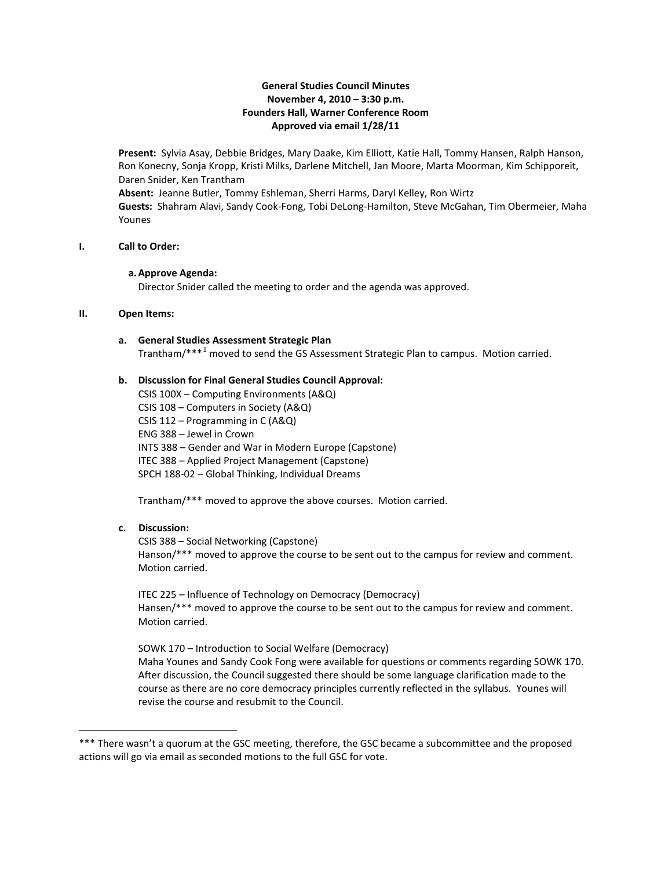## **General Studies Council Minutes November 4, 2010 – 3:30 p.m. Founders Hall, Warner Conference Room Approved via email 1/28/11**

**Present:** Sylvia Asay, Debbie Bridges, Mary Daake, Kim Elliott, Katie Hall, Tommy Hansen, Ralph Hanson, Ron Konecny, Sonja Kropp, Kristi Milks, Darlene Mitchell, Jan Moore, Marta Moorman, Kim Schipporeit, Daren Snider, Ken Trantham **Absent:** Jeanne Butler, Tommy Eshleman, Sherri Harms, Daryl Kelley, Ron Wirtz **Guests:** Shahram Alavi, Sandy Cook-Fong, Tobi DeLong-Hamilton, Steve McGahan, Tim Obermeier, Maha Younes

#### **I. Call to Order:**

#### **a.Approve Agenda:**

Director Snider called the meeting to order and the agenda was approved.

### **II. Open Items:**

#### **a. General Studies Assessment Strategic Plan**

Trantham/\*\*\*[1](#page-0-0) moved to send the GS Assessment Strategic Plan to campus. Motion carried.

## **b. Discussion for Final General Studies Council Approval:**

CSIS 100X – Computing Environments (A&Q) CSIS 108 – Computers in Society (A&Q) CSIS 112 – Programming in C (A&Q) ENG 388 – Jewel in Crown INTS 388 – Gender and War in Modern Europe (Capstone) ITEC 388 – Applied Project Management (Capstone) SPCH 188-02 – Global Thinking, Individual Dreams

Trantham/\*\*\* moved to approve the above courses. Motion carried.

## **c. Discussion:**

ı

CSIS 388 – Social Networking (Capstone) Hanson/\*\*\* moved to approve the course to be sent out to the campus for review and comment. Motion carried.

ITEC 225 – Influence of Technology on Democracy (Democracy) Hansen/\*\*\* moved to approve the course to be sent out to the campus for review and comment. Motion carried.

SOWK 170 – Introduction to Social Welfare (Democracy) Maha Younes and Sandy Cook Fong were available for questions or comments regarding SOWK 170. After discussion, the Council suggested there should be some language clarification made to the course as there are no core democracy principles currently reflected in the syllabus. Younes will revise the course and resubmit to the Council.

<span id="page-0-0"></span><sup>\*\*\*</sup> There wasn't a quorum at the GSC meeting, therefore, the GSC became a subcommittee and the proposed actions will go via email as seconded motions to the full GSC for vote.